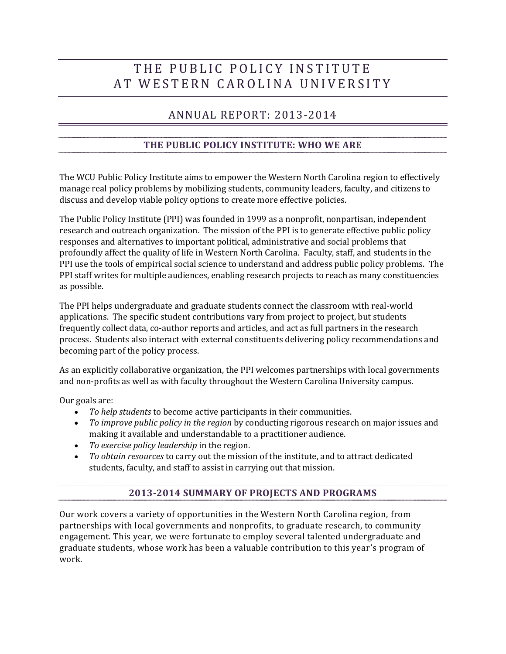# THE PUBLIC POLICY INSTITUTE AT WESTERN CAROLINA UNIVERSITY

## ANNUAL REPORT: 2013-2014

#### **THE PUBLIC POLICY INSTITUTE: WHO WE ARE**

The WCU Public Policy Institute aims to empower the Western North Carolina region to effectively manage real policy problems by mobilizing students, community leaders, faculty, and citizens to discuss and develop viable policy options to create more effective policies.

The Public Policy Institute (PPI) was founded in 1999 as a nonprofit, nonpartisan, independent research and outreach organization. The mission of the PPI is to generate effective public policy responses and alternatives to important political, administrative and social problems that profoundly affect the quality of life in Western North Carolina. Faculty, staff, and students in the PPI use the tools of empirical social science to understand and address public policy problems. The PPI staff writes for multiple audiences, enabling research projects to reach as many constituencies as possible.

The PPI helps undergraduate and graduate students connect the classroom with real-world applications. The specific student contributions vary from project to project, but students frequently collect data, co-author reports and articles, and act as full partners in the research process. Students also interact with external constituents delivering policy recommendations and becoming part of the policy process.

As an explicitly collaborative organization, the PPI welcomes partnerships with local governments and non-profits as well as with faculty throughout the Western Carolina University campus.

Our goals are:

- *To help students* to become active participants in their communities.
- *To improve public policy in the region* by conducting rigorous research on major issues and making it available and understandable to a practitioner audience.
- *To exercise policy leadership* in the region.
- *To obtain resources* to carry out the mission of the institute, and to attract dedicated students, faculty, and staff to assist in carrying out that mission.

#### **2013-2014 SUMMARY OF PROJECTS AND PROGRAMS**

Our work covers a variety of opportunities in the Western North Carolina region, from partnerships with local governments and nonprofits, to graduate research, to community engagement. This year, we were fortunate to employ several talented undergraduate and graduate students, whose work has been a valuable contribution to this year's program of work.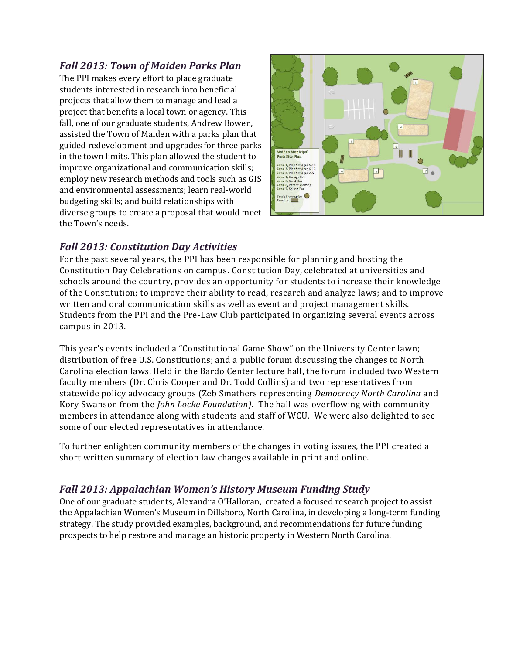#### *Fall 2013: Town of Maiden Parks Plan*

The PPI makes every effort to place graduate students interested in research into beneficial projects that allow them to manage and lead a project that benefits a local town or agency. This fall, one of our graduate students, Andrew Bowen, assisted the Town of Maiden with a parks plan that guided redevelopment and upgrades for three parks in the town limits. This plan allowed the student to improve organizational and communication skills; employ new research methods and tools such as GIS and environmental assessments; learn real-world budgeting skills; and build relationships with diverse groups to create a proposal that would meet the Town's needs.



#### *Fall 2013: Constitution Day Activities*

For the past several years, the PPI has been responsible for planning and hosting the Constitution Day Celebrations on campus. Constitution Day, celebrated at universities and schools around the country, provides an opportunity for students to increase their knowledge of the Constitution; to improve their ability to read, research and analyze laws; and to improve written and oral communication skills as well as event and project management skills. Students from the PPI and the Pre-Law Club participated in organizing several events across campus in 2013.

This year's events included a "Constitutional Game Show" on the University Center lawn; distribution of free U.S. Constitutions; and a public forum discussing the changes to North Carolina election laws. Held in the Bardo Center lecture hall, the forum included two Western faculty members (Dr. Chris Cooper and Dr. Todd Collins) and two representatives from statewide policy advocacy groups (Zeb Smathers representing *Democracy North Carolina* and Kory Swanson from the *John Locke Foundation).* The hall was overflowing with community members in attendance along with students and staff of WCU. We were also delighted to see some of our elected representatives in attendance.

To further enlighten community members of the changes in voting issues, the PPI created a short written summary of election law changes available in print and online.

### *Fall 2013: Appalachian Women's History Museum Funding Study*

One of our graduate students, Alexandra O'Halloran, created a focused research project to assist the Appalachian Women's Museum in Dillsboro, North Carolina, in developing a long-term funding strategy. The study provided examples, background, and recommendations for future funding prospects to help restore and manage an historic property in Western North Carolina.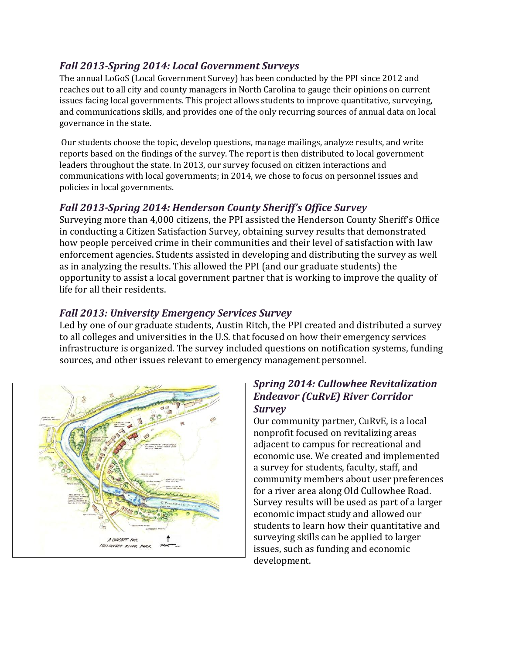#### *Fall 2013-Spring 2014: Local Government Surveys*

The annual LoGoS (Local Government Survey) has been conducted by the PPI since 2012 and reaches out to all city and county managers in North Carolina to gauge their opinions on current issues facing local governments. This project allows students to improve quantitative, surveying, and communications skills, and provides one of the only recurring sources of annual data on local governance in the state.

Our students choose the topic, develop questions, manage mailings, analyze results, and write reports based on the findings of the survey. The report is then distributed to local government leaders throughout the state. In 2013, our survey focused on citizen interactions and communications with local governments; in 2014, we chose to focus on personnel issues and policies in local governments.

### *Fall 2013-Spring 2014: Henderson County Sheriff's Office Survey*

Surveying more than 4,000 citizens, the PPI assisted the Henderson County Sheriff's Office in conducting a Citizen Satisfaction Survey, obtaining survey results that demonstrated how people perceived crime in their communities and their level of satisfaction with law enforcement agencies. Students assisted in developing and distributing the survey as well as in analyzing the results. This allowed the PPI (and our graduate students) the opportunity to assist a local government partner that is working to improve the quality of life for all their residents.

### *Fall 2013: University Emergency Services Survey*

Led by one of our graduate students, Austin Ritch, the PPI created and distributed a survey to all colleges and universities in the U.S. that focused on how their emergency services infrastructure is organized. The survey included questions on notification systems, funding sources, and other issues relevant to emergency management personnel.



#### *Spring 2014: Cullowhee Revitalization Endeavor (CuRvE) River Corridor Survey*

Our community partner, CuRvE, is a local nonprofit focused on revitalizing areas adjacent to campus for recreational and economic use. We created and implemented a survey for students, faculty, staff, and community members about user preferences for a river area along Old Cullowhee Road. Survey results will be used as part of a larger economic impact study and allowed our students to learn how their quantitative and surveying skills can be applied to larger issues, such as funding and economic development.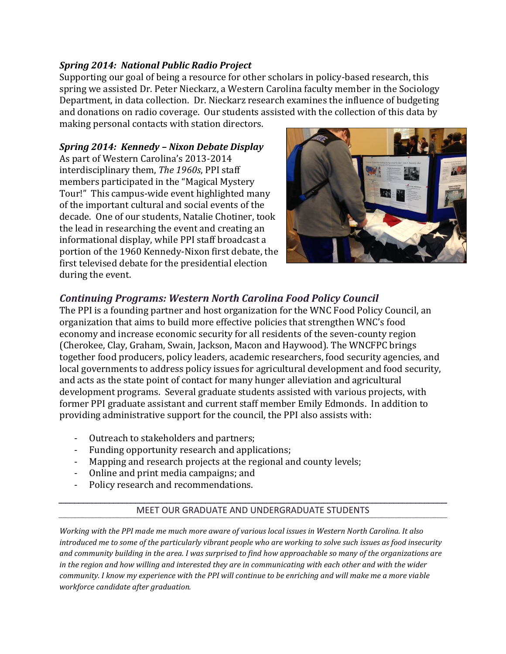#### *Spring 2014: National Public Radio Project*

Supporting our goal of being a resource for other scholars in policy-based research, this spring we assisted Dr. Peter Nieckarz, a Western Carolina faculty member in the Sociology Department, in data collection. Dr. Nieckarz research examines the influence of budgeting and donations on radio coverage. Our students assisted with the collection of this data by making personal contacts with station directors.

#### *Spring 2014: Kennedy – Nixon Debate Display*

As part of Western Carolina's 2013-2014 interdisciplinary them, *The 1960s*, PPI staff members participated in the "Magical Mystery Tour!" This campus-wide event highlighted many of the important cultural and social events of the decade. One of our students, Natalie Chotiner, took the lead in researching the event and creating an informational display, while PPI staff broadcast a portion of the 1960 Kennedy-Nixon first debate, the first televised debate for the presidential election during the event.



### *Continuing Programs: Western North Carolina Food Policy Council*

The PPI is a founding partner and host organization for the WNC Food Policy Council, an organization that aims to build more effective policies that strengthen WNC's food economy and increase economic security for all residents of the seven-county region (Cherokee, Clay, Graham, Swain, Jackson, Macon and Haywood). The WNCFPC brings together food producers, policy leaders, academic researchers, food security agencies, and local governments to address policy issues for agricultural development and food security, and acts as the state point of contact for many hunger alleviation and agricultural development programs. Several graduate students assisted with various projects, with former PPI graduate assistant and current staff member Emily Edmonds. In addition to providing administrative support for the council, the PPI also assists with:

- Outreach to stakeholders and partners;
- Funding opportunity research and applications;
- Mapping and research projects at the regional and county levels;
- Online and print media campaigns; and
- Policy research and recommendations.

#### MEET OUR GRADUATE AND UNDERGRADUATE STUDENTS

*Working with the PPI made me much more aware of various local issues in Western North Carolina. It also introduced me to some of the particularly vibrant people who are working to solve such issues as food insecurity and community building in the area. I was surprised to find how approachable so many of the organizations are in the region and how willing and interested they are in communicating with each other and with the wider community. I know my experience with the PPI will continue to be enriching and will make me a more viable workforce candidate after graduation.*